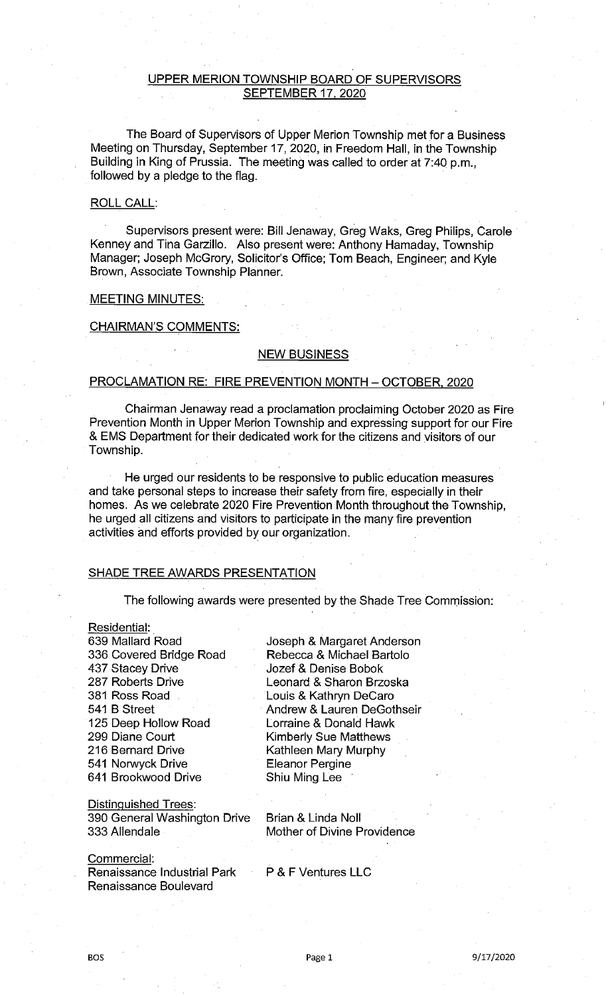## UPPER MERION TOWNSHIP BOARD OF SUPERVISORS SEPTEMBER 17, 2020

The Board of Supervisors of Upper Merion Township met for a Business Meeting on Thursday, September 17, 2020, in Freedom Hall, in the Township Building in King of Prussia. The meeting was called to order at 7:40 p.m., followed by a pledge to the flag.

## ROLL CALL:

Supervisors present were: Bill Jenaway, Greg Waks, Greg Philips, Carole Kenney and Tina Garzillo. Also present were: Anthony Hamaday, Township Manager; Joseph McGrory, Solicitor's Office; Tom Beach, Engineer; and Kyle Brown, Associate Township Planner.

### MEETING MINUTES:

#### CHAIRMAN'S COMMENTS:

## NEW BUSINESS

## PROCLAMATION RE: FIRE PREVENTION MONTH - OCTOBER, 2020

Chairman Jenaway read a proclamation proclaiming October 2020 as Fire Prevention Month in Upper Merion Township and expressing support for our Fire & EMS Department for their dedicated work for the citizens and visitors of our Township.

He urged our residents to be responsive to public education measures and take personal steps to increase their safety from fire, especially in their homes. As we celebrate 2020 Fire Prevention Month throughout the Township, he urged all citizens and visitors to participate in the many fire prevention activities and efforts provided by our organization.

# SHADE TREE AWARDS PRESENTATION

The following awards were presented by the Shade Tree Commission:

Residential: Mallard Road Covered Bridge Road Stacey Drive Roberts Drive Ross Road 541 B Street Deep Hollow Road Diane Court Bernard Drive Norwyck Drive Brookwood Drive

Distinquished Trees: 390 General Washington Drive 333 Allendale

Commercial: Renaissance Industrial Park Renaissance Boulevard

Joseph & Margaret Anderson Rebecca & Michael Bartolo Jozef & Denise Bobok Leonard & Sharon Brzoska Louis & Kathryn DeCaro Andrew & Lauren DeGothseir Lorraine & Donald Hawk Kimberly Sue Matthews Kathleen Mary Murphy Eleanor Pergine Shiu Ming Lee

Brian & Linda Noll Mother of Divine Providence

P & F Ventures LLC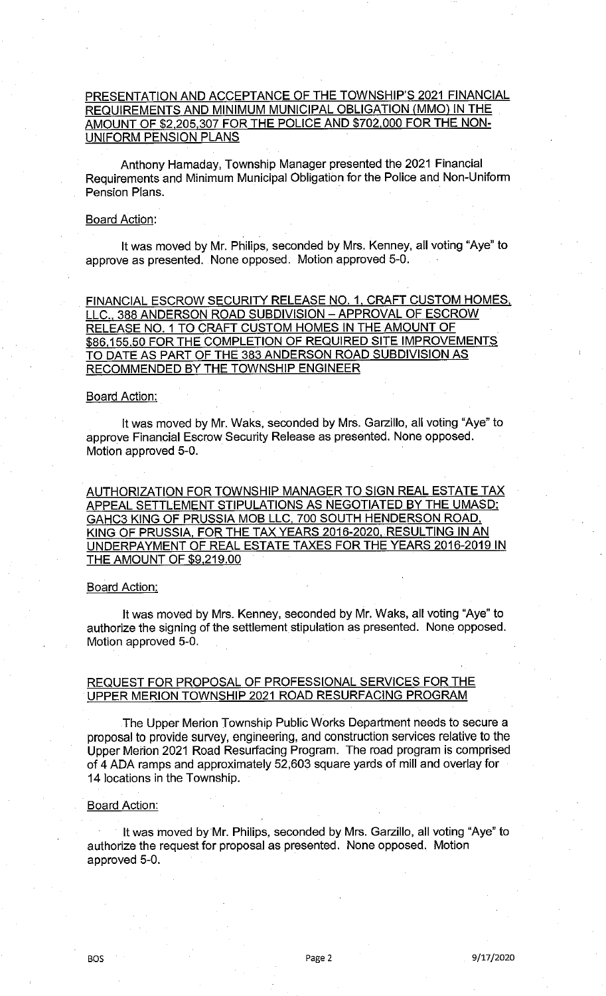# PRESENTATION AND ACCEPTANCE OF THE TOWNSHIP'S 2021 FINANCIAL REQUIREMENTS AND MINIMUM MUNICIPAL OBLIGATION (MMO) IN THE AMOUNT OF \$2,205,307 FOR THE POLICE AND \$702,000 FOR THE NON-UNIFORM PENSION PLANS

Anthony Hamaday, Township Manager presented the 2021 Financial Requirements and Minimum Municipal Obligation for the Police and Non-Uniform Pension Plans.

## Board Action:

It was moved by Mr. Philips, seconded by Mrs. Kenney, all voting "Aye" to approve as presented. None opposed. Motion approved 5-0.

FINANCIAL ESCROW SECURITY RELEASE NO. 1, CRAFT CUSTOM HOMES, LLC., 388 ANDERSON ROAD SUBDIVISION - APPROVAL OF ESCROW RELEASE N0. 1 TO CRAFT CUSTOM HOMES IN THE AMOUNT OF \$86,155.50 FOR THE COMPLETION OF REQUIRED SITE IMPROVEMENTS TO DATE AS PART OF THE 383 ANDERSON ROAD SUBDIVISION AS RECOMMENDED BY THE TOWNSHIP ENGINEER

## **Board Action:**

It was moved by Mr. Waks, seconded by Mrs. Garzillo, all voting "Aye" to approve Financial Escrow Security Release as presented. None opposed. Motion approved 5-0.

AUTHORIZATION FOR TOWNSHIP MANAGER TO SIGN REAL ESTATE TAX APPEAL SETTLEMENT STIPULATIONS AS NEGOTIATED BY THE UMASD: GAHC3 KING OF PRUSSIA MOB LLC, 700 SOUTH HENDERSON ROAD, KING OF PRUSSIA, FOR THE TAX YEARS 2016-2020, RESULTING IN AN UNDERPAYMENT OF REAL ESTATE TAXES FOR THE YEARS 2016-2019 IN THE AMOUNT OF \$9,219.00

#### Board Action:

It was moved by Mrs. Kenney, seconded by Mr. Waks, all voting "Aye" to authorize the signing of the settlement stipulation as presented. None opposed. Motion approved 5-0.

## REQUEST FOR PROPOSAL OF PROFESSIONAL SERVICES FOR THE UPPER MERION TOWNSHIP 2021 ROAD RESURFACING PROGRAM

The Upper Merion Township Public Works Department needs to secure a proposal to provide survey, engineering, and construction services relative to the Upper Merion 2021 Road Resurfacing Program. The road program is comprised of 4 ADA ramps and approximately 52,603 square yards of mill and overlay for 14 locations in the Township.

#### **Board Action:**

It was moved by Mr. Philips, seconded by Mrs. Garzillo, all voting "Aye" to authorize the request for proposal as presented. None opposed. Motion approved 5-0.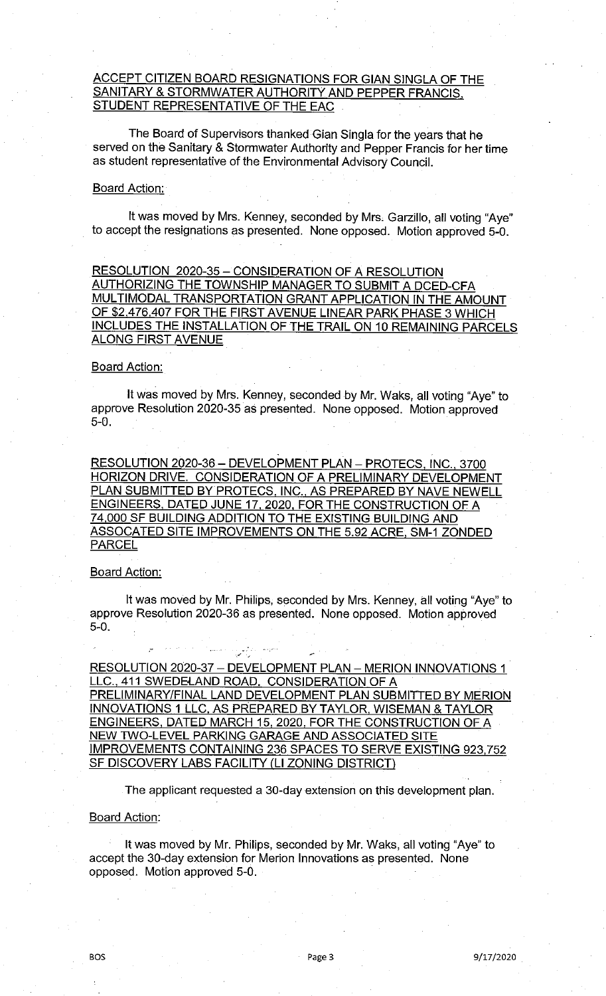# ACCEPT CITIZEN BOARD RESIGNATIONS FOR GIAN SINGLA OF THE SANITARY & STORMWATER AUTHORITY AND PEPPER FRANCIS, STUDENT REPRESENTATIVE OF THE EAC

The Board of Supervisors thanked Gian Singla for the years that he served on the Sanitary & Stormwater Authority and Pepper Francis for her time as student representative of the Environmental Advisory Council.

## **Board Action:**

It was moved by Mrs. Kenney, seconded by Mrs. Garzillo, all voting "Aye" to accept the resignations as presented. None opposed. Motion approved 5-0.

RESOLUTION 2020-35 - CONSIDERATION OF A RESOLUTION AUTHORIZING THE TOWNSHIP MANAGER TO SUBMIT A DCED-CFA MULTIMODAL TRANSPORTATION GRANT APPLICATION IN THE AMOUNT OF \$2,476,407 FOR THE FIRST AVENUE LINEAR PARK PHASE 3 WHICH INCLUDES THE INSTALLATION OF THE TRAIL ON 10 REMAINING PARCELS ALONG FIRST AVENUE

### **Board Action:**

It was moved by Mrs. Kenney, seconded by Mr. Waks, all voting "Aye" to approve Resolution 2020-35 as presented. None opposed. Motion approved 5-0.

RESOLUTION 2020-36 - DEVELOPMENT PLAN - PROTECS, INC., 3700 HORIZON DRIVE. CONSIDERATION OF A PRELIMINARY DEVELOPMENT PLAN SUBMITTED BY PROTECS, INC., AS PREPARED BY NAVE NEWELL ENGINEERS, DATED JUNE 17, 2020, FOR THE CONSTRUCTION OF A <u>74,000 SF BUILDING ADDITION TO THE EXISTING BUILDING AN</u> ASSOCATED SITE IMPROVEMENTS ON THE 5.92 ACRE, SM-I ZONDED PARCEL

## Board Action:

It was moved by Mr. Philips, seconded by Mrs. Kenney, all voting "Aye" to approve Resolution 2020-36 as presented. None opposed. Motion approved 5-0.

RESOLUTION 2020-37 - DEVELOPMENT PLAN - MERION INNOVATIONS 1 LLC., 411 SWEDELAND ROAD. CONSIDERATION OF A PRELIMINARY/FINAL LAND DEVELOPMENT PLAN SUBMITTED BY MERION INNOVATIONS 1 LLC, AS PREPARED BY TAYLOR, WISEMAN & TAYLOR ENGINEERS, DATED MARCH 15, 2020, FOR THE CONSTRUCTION OF A NEW TWO-LEVEL PARKING GARAGE AND ASSOCIATED SITE IMPROVEMENTS CONTAINING 236 SPACES TO SERVE EXISTING 923,752 SF DISCOVERY LABS FACILITY (LI ZONING DISTRICT)

The applicant requested a 30-day extension on this development plan.

### Board Action:

It was moved by Mr. Philips, seconded by Mr. Waks, all voting "Aye" to accept the 30-day extension for Merion Innovations as presented. None opposed. Motion approved 5-0.